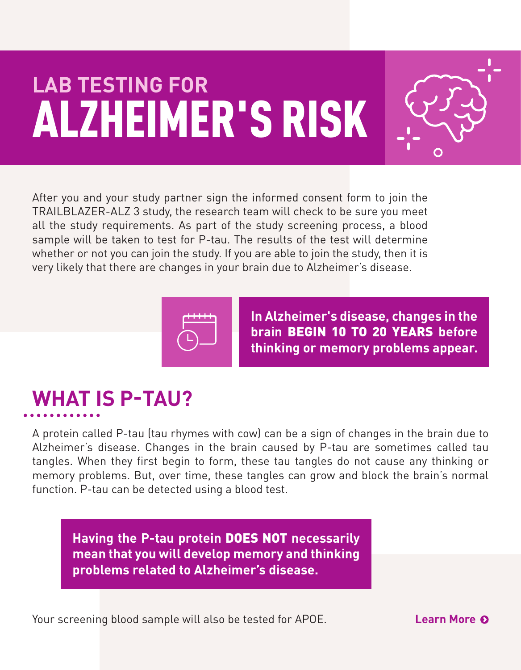# **LAB TESTING FOR** ALZHEIMER'S RISK



After you and your study partner sign the informed consent form to join the TRAILBLAZER-ALZ 3 study, the research team will check to be sure you meet all the study requirements. As part of the study screening process, a blood sample will be taken to test for P-tau. The results of the test will determine whether or not you can join the study. If you are able to join the study, then it is very likely that there are changes in your brain due to Alzheimer's disease.



**In Alzheimer's disease, changes in the brain** BEGIN 10 TO 20 YEARS **before thinking or memory problems appear.**

## **WHAT IS P-TAU?**

A protein called P-tau (tau rhymes with cow) can be a sign of changes in the brain due to Alzheimer's disease. Changes in the brain caused by P-tau are sometimes called tau tangles. When they first begin to form, these tau tangles do not cause any thinking or memory problems. But, over time, these tangles can grow and block the brain's normal function. P-tau can be detected using a blood test.

**Having the P-tau protein** DOES NOT **necessarily mean that you will develop memory and thinking problems related to Alzheimer's disease.**

Your screening blood sample will also be tested for APOE.

**Learn More**